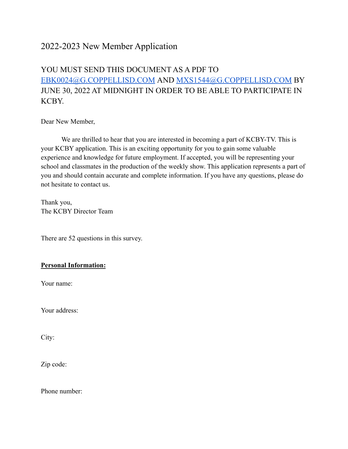# 2022-2023 New Member Application

# YOU MUST SEND THIS DOCUMENT AS A PDF TO [EBK0024@G.COPPELLISD.COM](mailto:EBK0024@G.COPPELLISD.COM) AND [MXS1544@G.COPPELLISD.COM](mailto:MXS1544@G.COPPELLISD.COM) BY JUNE 30, 2022 AT MIDNIGHT IN ORDER TO BE ABLE TO PARTICIPATE IN KCBY.

Dear New Member,

We are thrilled to hear that you are interested in becoming a part of KCBY-TV. This is your KCBY application. This is an exciting opportunity for you to gain some valuable experience and knowledge for future employment. If accepted, you will be representing your school and classmates in the production of the weekly show. This application represents a part of you and should contain accurate and complete information. If you have any questions, please do not hesitate to contact us.

Thank you, The KCBY Director Team

There are 52 questions in this survey.

### **Personal Information:**

Your name:

Your address:

City:

Zip code:

Phone number: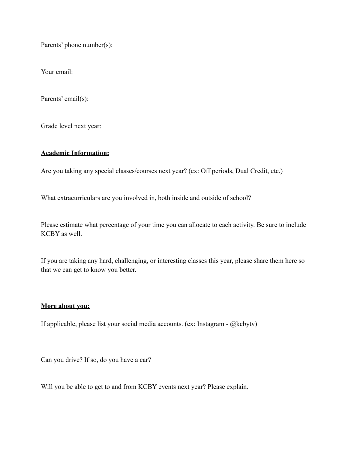Parents' phone number(s):

Your email:

Parents' email(s):

Grade level next year:

#### **Academic Information:**

Are you taking any special classes/courses next year? (ex: Off periods, Dual Credit, etc.)

What extracurriculars are you involved in, both inside and outside of school?

Please estimate what percentage of your time you can allocate to each activity. Be sure to include KCBY as well.

If you are taking any hard, challenging, or interesting classes this year, please share them here so that we can get to know you better.

### **More about you:**

If applicable, please list your social media accounts. (ex: Instagram - @kcbytv)

Can you drive? If so, do you have a car?

Will you be able to get to and from KCBY events next year? Please explain.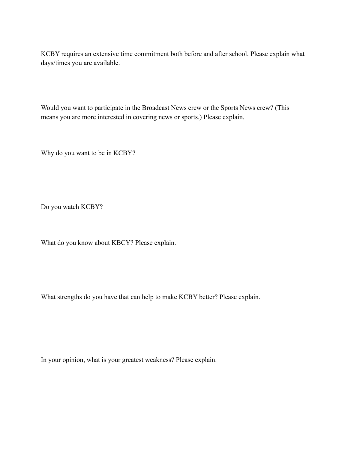KCBY requires an extensive time commitment both before and after school. Please explain what days/times you are available.

Would you want to participate in the Broadcast News crew or the Sports News crew? (This means you are more interested in covering news or sports.) Please explain.

Why do you want to be in KCBY?

Do you watch KCBY?

What do you know about KBCY? Please explain.

What strengths do you have that can help to make KCBY better? Please explain.

In your opinion, what is your greatest weakness? Please explain.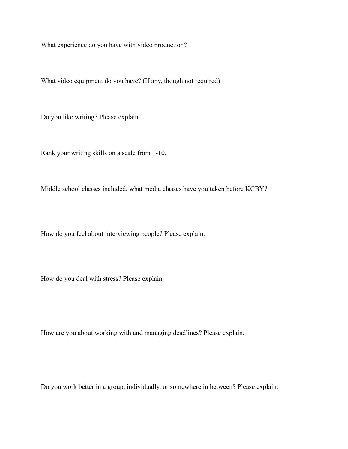What experience do you have with video production?

What video equipment do you have? (If any, though not required)

Do you like writing? Please explain.

Rank your writing skills on a scale from 1-10.

Middle school classes included, what media classes have you taken before KCBY?

How do you feel about interviewing people? Please explain.

How do you deal with stress? Please explain.

How are you about working with and managing deadlines? Please explain.

Do you work better in a group, individually, or somewhere in between? Please explain.